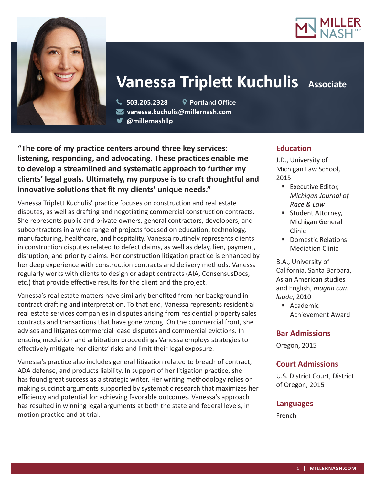



# **Vanessa Triplett Kuchulis Associate**

 **503.205.2328 Portland Office vanessa.kuchulis@millernash.com** 

**@millernashllp**

**"The core of my practice centers around three key services: listening, responding, and advocating. These practices enable me to develop a streamlined and systematic approach to further my clients' legal goals. Ultimately, my purpose is to craft thoughtful and innovative solutions that fit my clients' unique needs."**

Vanessa Triplett Kuchulis' practice focuses on construction and real estate disputes, as well as drafting and negotiating commercial construction contracts. She represents public and private owners, general contractors, developers, and subcontractors in a wide range of projects focused on education, technology, manufacturing, healthcare, and hospitality. Vanessa routinely represents clients in construction disputes related to defect claims, as well as delay, lien, payment, disruption, and priority claims. Her construction litigation practice is enhanced by her deep experience with construction contracts and delivery methods. Vanessa regularly works with clients to design or adapt contracts (AIA, ConsensusDocs, etc.) that provide effective results for the client and the project.

Vanessa's real estate matters have similarly benefited from her background in contract drafting and interpretation. To that end, Vanessa represents residential real estate services companies in disputes arising from residential property sales contracts and transactions that have gone wrong. On the commercial front, she advises and litigates commercial lease disputes and commercial evictions. In ensuing mediation and arbitration proceedings Vanessa employs strategies to effectively mitigate her clients' risks and limit their legal exposure.

Vanessa's practice also includes general litigation related to breach of contract, ADA defense, and products liability. In support of her litigation practice, she has found great success as a strategic writer. Her writing methodology relies on making succinct arguments supported by systematic research that maximizes her efficiency and potential for achieving favorable outcomes. Vanessa's approach has resulted in winning legal arguments at both the state and federal levels, in motion practice and at trial.

# **Education**

J.D., University of Michigan Law School, 2015

- **Executive Editor,** *Michigan Journal of Race & Law*
- **Student Attorney,** Michigan General Clinic
- **Domestic Relations** Mediation Clinic

B.A., University of California, Santa Barbara, Asian American studies and English, *magna cum laude*, 2010

**Academic** Achievement Award

# **Bar Admissions**

Oregon, 2015

# **Court Admissions**

U.S. District Court, District of Oregon, 2015

## **Languages**

French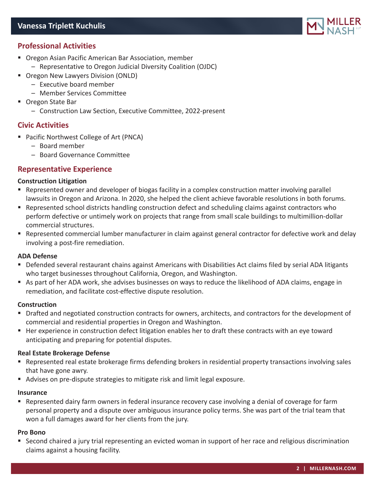

## **Professional Activities**

- Oregon Asian Pacific American Bar Association, member
	- Representative to Oregon Judicial Diversity Coalition (OJDC)
- Oregon New Lawyers Division (ONLD)
	- Executive board member
	- Member Services Committee
- Oregon State Bar
	- Construction Law Section, Executive Committee, 2022-present

## **Civic Activities**

- Pacific Northwest College of Art (PNCA)
	- Board member
	- Board Governance Committee

## **Representative Experience**

#### **Construction Litigation**

- Represented owner and developer of biogas facility in a complex construction matter involving parallel lawsuits in Oregon and Arizona. In 2020, she helped the client achieve favorable resolutions in both forums.
- Represented school districts handling construction defect and scheduling claims against contractors who perform defective or untimely work on projects that range from small scale buildings to multimillion-dollar commercial structures.
- Represented commercial lumber manufacturer in claim against general contractor for defective work and delay involving a post-fire remediation.

#### **ADA Defense**

- Defended several restaurant chains against Americans with Disabilities Act claims filed by serial ADA litigants who target businesses throughout California, Oregon, and Washington.
- As part of her ADA work, she advises businesses on ways to reduce the likelihood of ADA claims, engage in remediation, and facilitate cost-effective dispute resolution.

#### **Construction**

- Drafted and negotiated construction contracts for owners, architects, and contractors for the development of commercial and residential properties in Oregon and Washington.
- Her experience in construction defect litigation enables her to draft these contracts with an eye toward anticipating and preparing for potential disputes.

#### **Real Estate Brokerage Defense**

- Represented real estate brokerage firms defending brokers in residential property transactions involving sales that have gone awry.
- Advises on pre-dispute strategies to mitigate risk and limit legal exposure.

#### **Insurance**

**•** Represented dairy farm owners in federal insurance recovery case involving a denial of coverage for farm personal property and a dispute over ambiguous insurance policy terms. She was part of the trial team that won a full damages award for her clients from the jury.

#### **Pro Bono**

 Second chaired a jury trial representing an evicted woman in support of her race and religious discrimination claims against a housing facility.